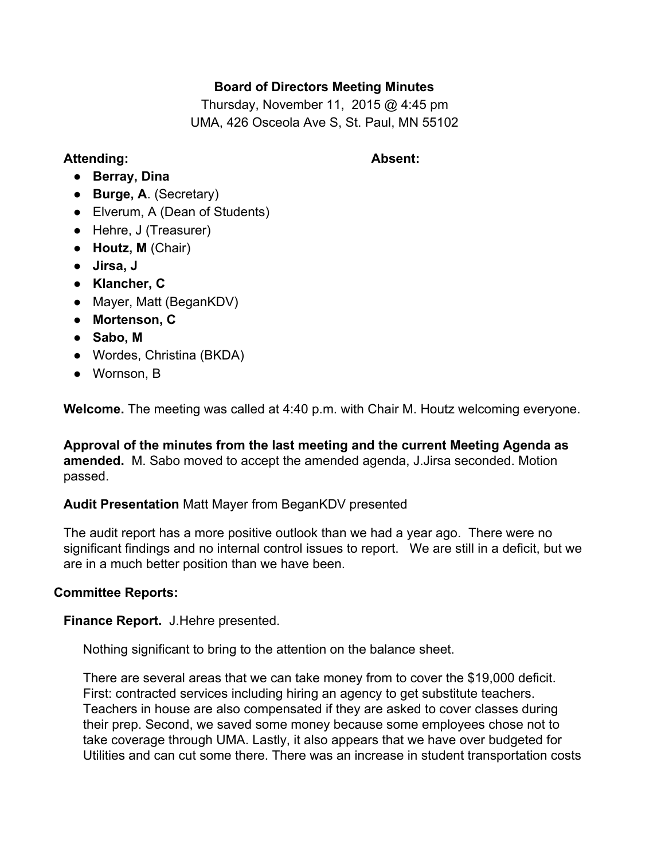# **Board of Directors Meeting Minutes**

Thursday, November 11, 2015 @ 4:45 pm UMA, 426 Osceola Ave S, St. Paul, MN 55102

## **Attending: Absent:**

- **Berray, Dina**
- **Burge, A**. (Secretary)
- Elverum, A (Dean of Students)
- Hehre, J (Treasurer)
- **Houtz, M**(Chair)
- **Jirsa, J**
- **● Klancher, C**
- Mayer, Matt (BeganKDV)
- **● Mortenson, C**
- **Sabo, M**
- **●** Wordes, Christina (BKDA)
- Wornson, B

**Welcome.**The meeting was called at 4:40 p.m. with Chair M. Houtz welcoming everyone.

**Approval of the minutes from the last meeting and the current Meeting Agenda as amended.** M. Sabo moved to accept the amended agenda, J.Jirsa seconded. Motion passed.

### **Audit Presentation** Matt Mayer from BeganKDV presented

The audit report has a more positive outlook than we had a year ago. There were no significant findings and no internal control issues to report. We are still in a deficit, but we are in a much better position than we have been.

### **Committee Reports:**

**Finance Report.** J.Hehre presented.

Nothing significant to bring to the attention on the balance sheet.

There are several areas that we can take money from to cover the \$19,000 deficit. First: contracted services including hiring an agency to get substitute teachers. Teachers in house are also compensated if they are asked to cover classes during their prep. Second, we saved some money because some employees chose not to take coverage through UMA. Lastly, it also appears that we have over budgeted for Utilities and can cut some there. There was an increase in student transportation costs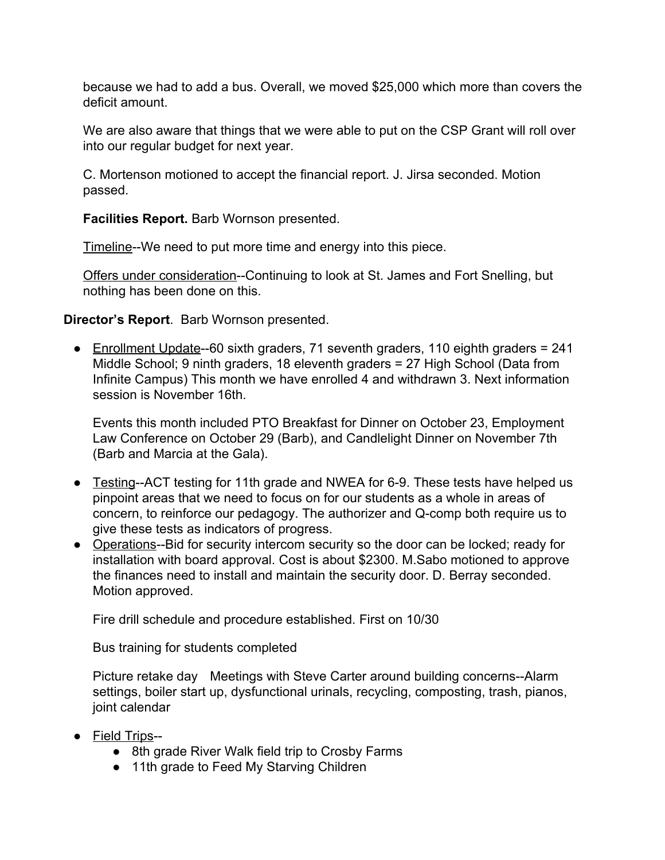because we had to add a bus. Overall, we moved \$25,000 which more than covers the deficit amount.

We are also aware that things that we were able to put on the CSP Grant will roll over into our regular budget for next year.

C. Mortenson motioned to accept the financial report. J. Jirsa seconded. Motion passed.

**Facilities Report.** Barb Wornson presented.

Timeline--We need to put more time and energy into this piece.

Offers under consideration--Continuing to look at St. James and Fort Snelling, but nothing has been done on this.

# **Director's Report**. Barb Wornson presented.

• Enrollment Update-60 sixth graders, 71 seventh graders, 110 eighth graders =  $241$ Middle School; 9 ninth graders, 18 eleventh graders = 27 High School (Data from Infinite Campus) This month we have enrolled 4 and withdrawn 3. Next information session is November 16th.

Events this month included PTO Breakfast for Dinner on October 23, Employment Law Conference on October 29 (Barb), and Candlelight Dinner on November 7th (Barb and Marcia at the Gala).

- Testing--ACT testing for 11th grade and NWEA for 6-9. These tests have helped us pinpoint areas that we need to focus on for our students as a whole in areas of concern, to reinforce our pedagogy. The authorizer and Q-comp both require us to give these tests as indicators of progress.
- Operations--Bid for security intercom security so the door can be locked; ready for installation with board approval. Cost is about \$2300. M.Sabo motioned to approve the finances need to install and maintain the security door. D. Berray seconded. Motion approved.

Fire drill schedule and procedure established. First on 10/30

Bus training for students completed

Picture retake day Meetings with Steve Carter around building concerns--Alarm settings, boiler start up, dysfunctional urinals, recycling, composting, trash, pianos, joint calendar

- Field Trips--
	- 8th grade River Walk field trip to Crosby Farms
	- 11th grade to Feed My Starving Children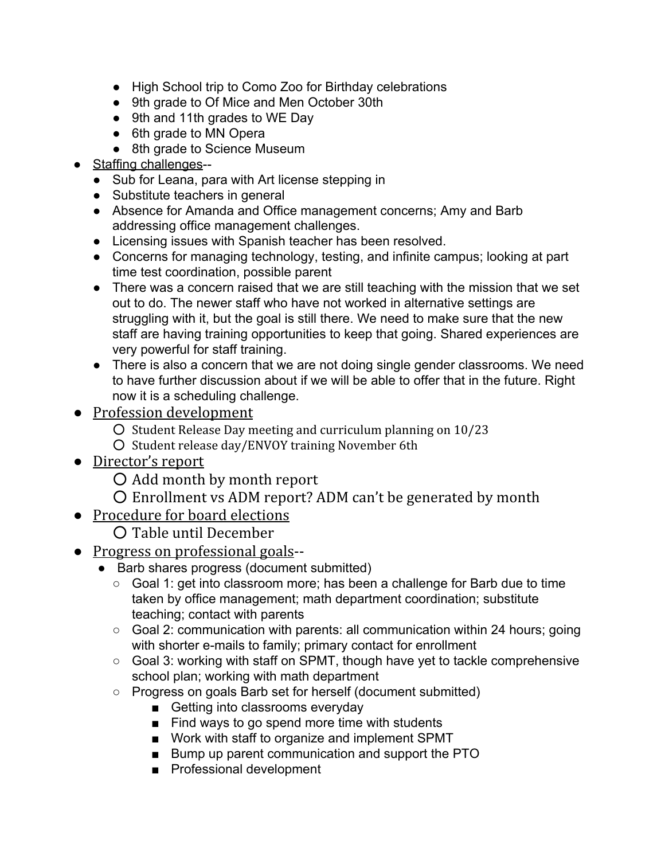- High School trip to Como Zoo for Birthday celebrations
- 9th grade to Of Mice and Men October 30th
- 9th and 11th grades to WE Day
- 6th grade to MN Opera
- 8th grade to Science Museum
- Staffing challenges--
	- Sub for Leana, para with Art license stepping in
	- Substitute teachers in general
	- Absence for Amanda and Office management concerns; Amy and Barb addressing office management challenges.
	- Licensing issues with Spanish teacher has been resolved.
	- Concerns for managing technology, testing, and infinite campus; looking at part time test coordination, possible parent
	- There was a concern raised that we are still teaching with the mission that we set out to do. The newer staff who have not worked in alternative settings are struggling with it, but the goal is still there. We need to make sure that the new staff are having training opportunities to keep that going. Shared experiences are very powerful for staff training.
	- There is also a concern that we are not doing single gender classrooms. We need to have further discussion about if we will be able to offer that in the future. Right now it is a scheduling challenge.
- Profession development
	- Student Release Day meeting and curriculum planning on 10/23
	- Student release day/ENVOY training November 6th
- Director's report
	- Add month by month report
	- Enrollment vs ADM report? ADM can't be generated by month
- Procedure for board elections
	- Table until December
- Progress on professional goals--
	- Barb shares progress (document submitted)
		- Goal 1: get into classroom more; has been a challenge for Barb due to time taken by office management; math department coordination; substitute teaching; contact with parents
		- Goal 2: communication with parents: all communication within 24 hours; going with shorter e-mails to family; primary contact for enrollment
		- Goal 3: working with staff on SPMT, though have yet to tackle comprehensive school plan; working with math department
		- Progress on goals Barb set for herself (document submitted)
			- Getting into classrooms everyday
			- Find ways to go spend more time with students
			- Work with staff to organize and implement SPMT
			- Bump up parent communication and support the PTO
			- Professional development